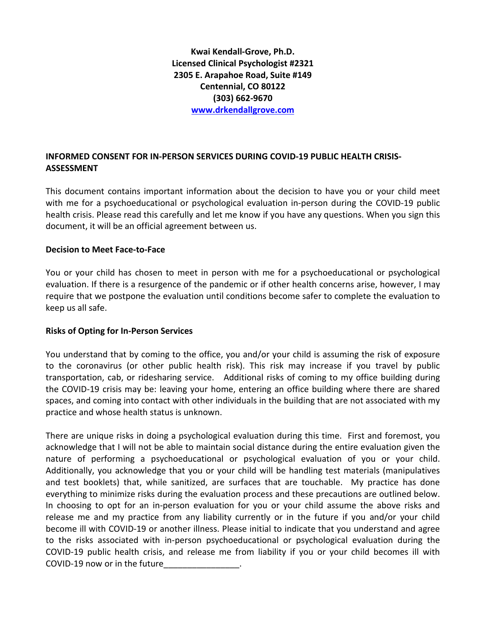**Kwai Kendall-Grove, Ph.D. Licensed Clinical Psychologist #2321 2305 E. Arapahoe Road, Suite #149 Centennial, CO 80122 (303) 662-9670 [www.drkendallgrove.com](http://www.drkendallgrove.com/)**

# **INFORMED CONSENT FOR IN-PERSON SERVICES DURING COVID-19 PUBLIC HEALTH CRISIS-ASSESSMENT**

This document contains important information about the decision to have you or your child meet with me for a psychoeducational or psychological evaluation in-person during the COVID-19 public health crisis. Please read this carefully and let me know if you have any questions. When you sign this document, it will be an official agreement between us.

### **Decision to Meet Face-to-Face**

You or your child has chosen to meet in person with me for a psychoeducational or psychological evaluation. If there is a resurgence of the pandemic or if other health concerns arise, however, I may require that we postpone the evaluation until conditions become safer to complete the evaluation to keep us all safe.

### **Risks of Opting for In-Person Services**

You understand that by coming to the office, you and/or your child is assuming the risk of exposure to the coronavirus (or other public health risk). This risk may increase if you travel by public transportation, cab, or ridesharing service. Additional risks of coming to my office building during the COVID-19 crisis may be: leaving your home, entering an office building where there are shared spaces, and coming into contact with other individuals in the building that are not associated with my practice and whose health status is unknown.

There are unique risks in doing a psychological evaluation during this time. First and foremost, you acknowledge that I will not be able to maintain social distance during the entire evaluation given the nature of performing a psychoeducational or psychological evaluation of you or your child. Additionally, you acknowledge that you or your child will be handling test materials (manipulatives and test booklets) that, while sanitized, are surfaces that are touchable. My practice has done everything to minimize risks during the evaluation process and these precautions are outlined below. In choosing to opt for an in-person evaluation for you or your child assume the above risks and release me and my practice from any liability currently or in the future if you and/or your child become ill with COVID-19 or another illness. Please initial to indicate that you understand and agree to the risks associated with in-person psychoeducational or psychological evaluation during the COVID-19 public health crisis, and release me from liability if you or your child becomes ill with COVID-19 now or in the future\_\_\_\_\_\_\_\_\_\_\_\_\_\_\_\_.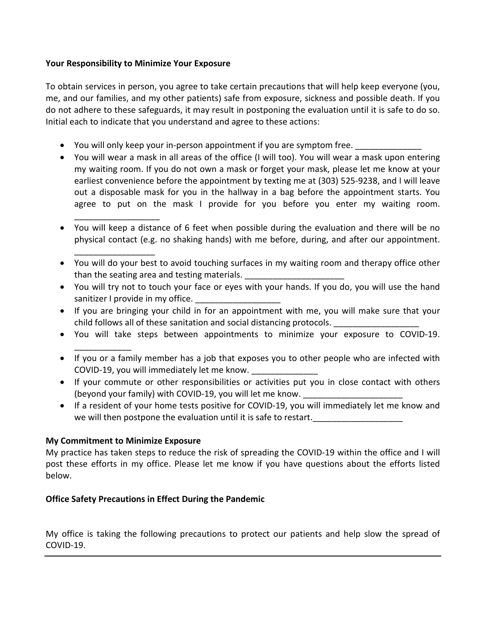### **Your Responsibility to Minimize Your Exposure**

\_\_\_\_\_\_\_\_\_\_\_\_\_\_\_\_\_\_

\_\_\_\_\_\_\_\_\_\_\_\_\_\_\_\_\_

\_\_\_\_\_\_\_\_\_\_\_\_

To obtain services in person, you agree to take certain precautions that will help keep everyone (you, me, and our families, and my other patients) safe from exposure, sickness and possible death. If you do not adhere to these safeguards, it may result in postponing the evaluation until it is safe to do so. Initial each to indicate that you understand and agree to these actions:

- You will only keep your in-person appointment if you are symptom free.
- You will wear a mask in all areas of the office (I will too). You will wear a mask upon entering my waiting room. If you do not own a mask or forget your mask, please let me know at your earliest convenience before the appointment by texting me at (303) 525-9238, and I will leave out a disposable mask for you in the hallway in a bag before the appointment starts. You agree to put on the mask I provide for you before you enter my waiting room.
- You will keep a distance of 6 feet when possible during the evaluation and there will be no physical contact (e.g. no shaking hands) with me before, during, and after our appointment.
- You will do your best to avoid touching surfaces in my waiting room and therapy office other than the seating area and testing materials.
- You will try not to touch your face or eyes with your hands. If you do, you will use the hand sanitizer I provide in my office.
- If you are bringing your child in for an appointment with me, you will make sure that your child follows all of these sanitation and social distancing protocols.
- You will take steps between appointments to minimize your exposure to COVID-19.
- If you or a family member has a job that exposes you to other people who are infected with COVID-19, you will immediately let me know.
- If your commute or other responsibilities or activities put you in close contact with others (beyond your family) with COVID-19, you will let me know.
- If a resident of your home tests positive for COVID-19, you will immediately let me know and we will then postpone the evaluation until it is safe to restart.

# **My Commitment to Minimize Exposure**

My practice has taken steps to reduce the risk of spreading the COVID-19 within the office and I will post these efforts in my office. Please let me know if you have questions about the efforts listed below.

# **Office Safety Precautions in Effect During the Pandemic**

My office is taking the following precautions to protect our patients and help slow the spread of COVID-19.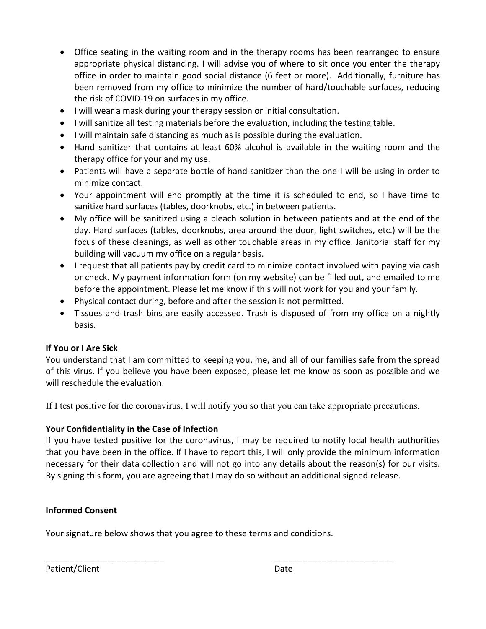- Office seating in the waiting room and in the therapy rooms has been rearranged to ensure appropriate physical distancing. I will advise you of where to sit once you enter the therapy office in order to maintain good social distance (6 feet or more). Additionally, furniture has been removed from my office to minimize the number of hard/touchable surfaces, reducing the risk of COVID-19 on surfaces in my office.
- I will wear a mask during your therapy session or initial consultation.
- I will sanitize all testing materials before the evaluation, including the testing table.
- I will maintain safe distancing as much as is possible during the evaluation.
- Hand sanitizer that contains at least 60% alcohol is available in the waiting room and the therapy office for your and my use.
- Patients will have a separate bottle of hand sanitizer than the one I will be using in order to minimize contact.
- Your appointment will end promptly at the time it is scheduled to end, so I have time to sanitize hard surfaces (tables, doorknobs, etc.) in between patients.
- My office will be sanitized using a bleach solution in between patients and at the end of the day. Hard surfaces (tables, doorknobs, area around the door, light switches, etc.) will be the focus of these cleanings, as well as other touchable areas in my office. Janitorial staff for my building will vacuum my office on a regular basis.
- I request that all patients pay by credit card to minimize contact involved with paying via cash or check. My payment information form (on my website) can be filled out, and emailed to me before the appointment. Please let me know if this will not work for you and your family.
- Physical contact during, before and after the session is not permitted.
- Tissues and trash bins are easily accessed. Trash is disposed of from my office on a nightly basis.

# **If You or I Are Sick**

You understand that I am committed to keeping you, me, and all of our families safe from the spread of this virus. If you believe you have been exposed, please let me know as soon as possible and we will reschedule the evaluation.

If I test positive for the coronavirus, I will notify you so that you can take appropriate precautions.

# **Your Confidentiality in the Case of Infection**

If you have tested positive for the coronavirus, I may be required to notify local health authorities that you have been in the office. If I have to report this, I will only provide the minimum information necessary for their data collection and will not go into any details about the reason(s) for our visits. By signing this form, you are agreeing that I may do so without an additional signed release.

# **Informed Consent**

Your signature below shows that you agree to these terms and conditions.

\_\_\_\_\_\_\_\_\_\_\_\_\_\_\_\_\_\_\_\_\_\_\_\_\_ \_\_\_\_\_\_\_\_\_\_\_\_\_\_\_\_\_\_\_\_\_\_\_\_\_

Patient/Client Date